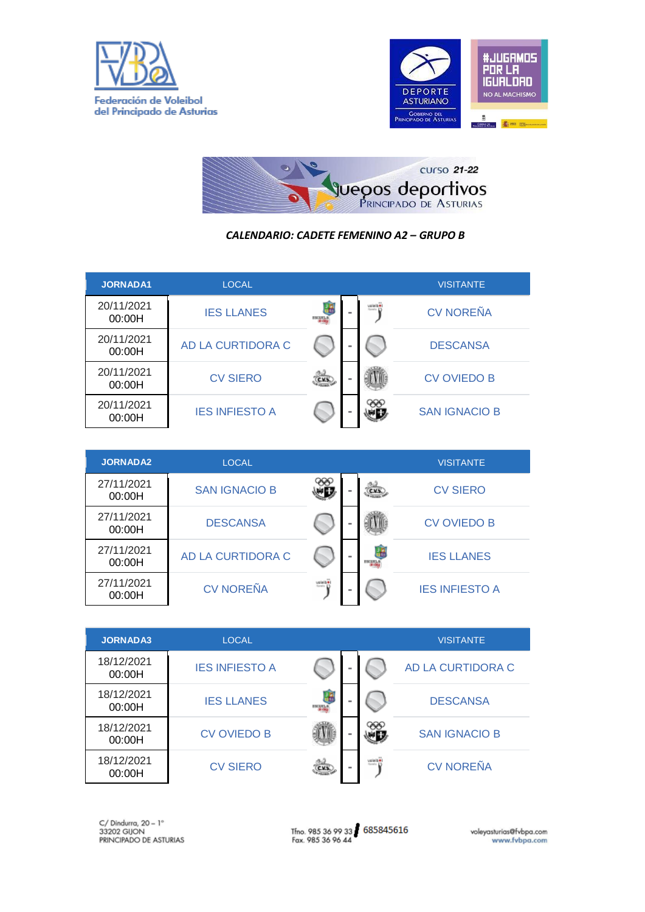





## *CALENDARIO: CADETE FEMENINO A2 – GRUPO B*

| <b>JORNADA1</b>      | <b>LOCAL</b>          |        |          |            | <b>VISITANTE</b>     |
|----------------------|-----------------------|--------|----------|------------|----------------------|
| 20/11/2021<br>00:00H | <b>IES LLANES</b>     | возна  | $\equiv$ | Service 17 | <b>CV NOREÑA</b>     |
| 20/11/2021<br>00:00H | AD LA CURTIDORA C     |        |          |            | <b>DESCANSA</b>      |
| 20/11/2021<br>00:00H | <b>CV SIERO</b>       | C.V.S. |          |            | <b>CV OVIEDO B</b>   |
| 20/11/2021<br>00:00H | <b>IES INFIESTO A</b> |        |          |            | <b>SAN IGNACIO B</b> |

| <b>JORNADA2</b>      | LOCAL                |                       |                  | <b>VISITANTE</b>      |
|----------------------|----------------------|-----------------------|------------------|-----------------------|
| 27/11/2021<br>00:00H | <b>SAN IGNACIO B</b> |                       | C.V.S.           | <b>CV SIERO</b>       |
| 27/11/2021<br>00:00H | <b>DESCANSA</b>      |                       |                  | <b>CV OVIEDO B</b>    |
| 27/11/2021<br>00:00H | AD LA CURTIDORA C    |                       | æ<br><b>BCLE</b> | <b>IES LLANES</b>     |
| 27/11/2021<br>00:00H | <b>CV NOREÑA</b>     | veletine)<br>Smrti 13 |                  | <b>IES INFIESTO A</b> |

| <b>JORNADA3</b>      | LOCAL                 |                |            |                      | <b>VISITANTE</b>     |
|----------------------|-----------------------|----------------|------------|----------------------|----------------------|
| 18/12/2021<br>00:00H | <b>IES INFIESTO A</b> |                |            |                      | AD LA CURTIDORA C    |
| 18/12/2021<br>00:00H | <b>IES LLANES</b>     | <b>COLLEGE</b> | <b>COL</b> |                      | <b>DESCANSA</b>      |
| 18/12/2021<br>00:00H | <b>CV OVIEDO B</b>    |                | $\equiv$   |                      | <b>SAN IGNACIO B</b> |
| 18/12/2021<br>00:00H | <b>CV SIERO</b>       | C.V.S.         | <b>COL</b> | voieiber<br>Senio 13 | <b>CV NOREÑA</b>     |

Tfno. 985 36 99 33 685845616<br>Fax. 985 36 96 44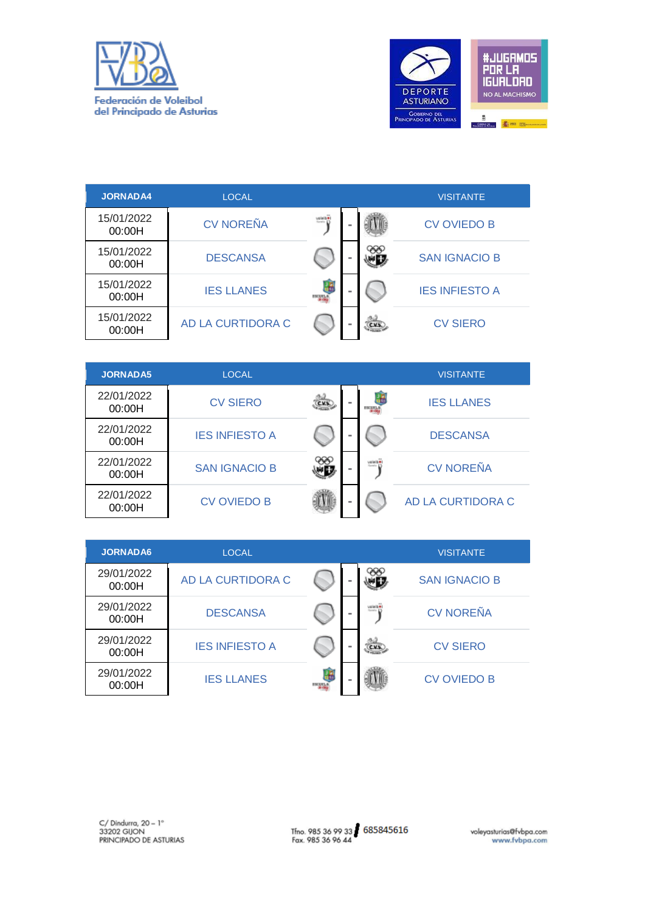



| <b>JORNADA4</b>      | <b>LOCAL</b>      |                    |          |      | <b>VISITANTE</b>      |
|----------------------|-------------------|--------------------|----------|------|-----------------------|
| 15/01/2022<br>00:00H | <b>CV NOREÑA</b>  | voieibe            | ÷        |      | <b>CV OVIEDO B</b>    |
| 15/01/2022<br>00:00H | <b>DESCANSA</b>   |                    | ×        |      | <b>SAN IGNACIO B</b>  |
| 15/01/2022<br>00:00H | <b>IES LLANES</b> | æ<br><b>ESCURL</b> | $\equiv$ |      | <b>IES INFIESTO A</b> |
| 15/01/2022<br>00:00H | AD LA CURTIDORA C |                    | ÷        | CXS. | <b>CV SIERO</b>       |

| <b>JORNADA5</b>      | LOCAL                 |        |   |                      | <b>VISITANTE</b>  |
|----------------------|-----------------------|--------|---|----------------------|-------------------|
| 22/01/2022<br>00:00H | <b>CV SIERO</b>       | C.V.S. | ٠ |                      | <b>IES LLANES</b> |
| 22/01/2022<br>00:00H | <b>IES INFIESTO A</b> |        | ٠ |                      | <b>DESCANSA</b>   |
| 22/01/2022<br>00:00H | <b>SAN IGNACIO B</b>  |        |   | voieiber<br>Senio 13 | <b>CV NOREÑA</b>  |
| 22/01/2022<br>00:00H | <b>CV OVIEDO B</b>    |        | - |                      | AD LA CURTIDORA C |

| <b>JORNADA6</b>      | <b>LOCAL</b>          |       |          |                             | <b>VISITANTE</b>     |
|----------------------|-----------------------|-------|----------|-----------------------------|----------------------|
| 29/01/2022<br>00:00H | AD LA CURTIDORA C     |       |          |                             | <b>SAN IGNACIO B</b> |
| 29/01/2022<br>00:00H | <b>DESCANSA</b>       |       | $\equiv$ | voietà e<br><b>Rento 17</b> | <b>CV NOREÑA</b>     |
| 29/01/2022<br>00:00H | <b>IES INFIESTO A</b> |       |          | C.V.S.                      | <b>CV SIERO</b>      |
| 29/01/2022<br>00:00H | <b>IES LLANES</b>     | magaz |          |                             | <b>CV OVIEDO B</b>   |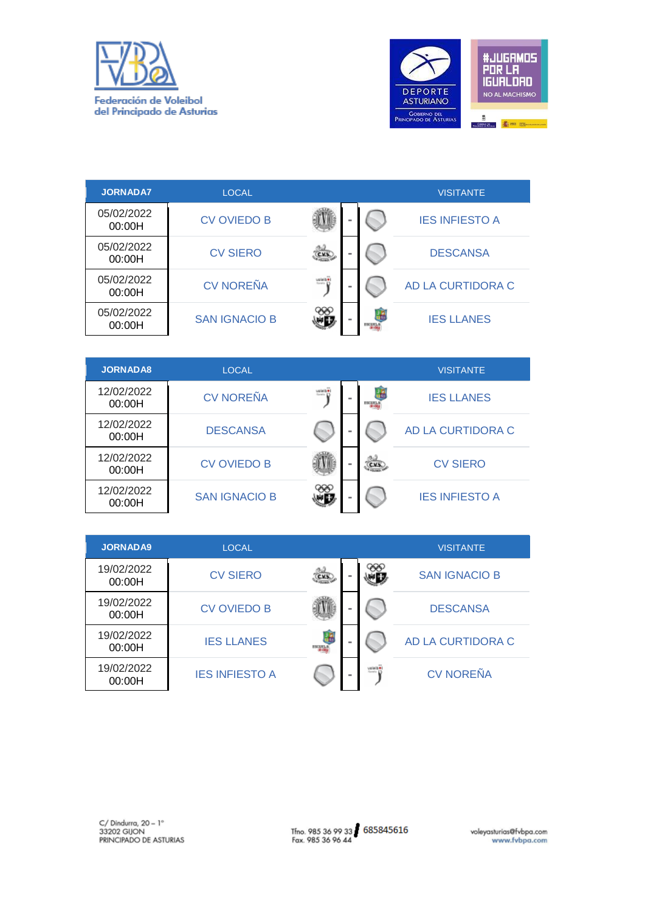



| <b>JORNADA7</b>      | LOCAL                |               |       | <b>VISITANTE</b>      |
|----------------------|----------------------|---------------|-------|-----------------------|
| 05/02/2022<br>00:00H | <b>CV OVIEDO B</b>   | -             |       | <b>IES INFIESTO A</b> |
| 05/02/2022<br>00:00H | <b>CV SIERO</b>      | C.V.S.        |       | <b>DESCANSA</b>       |
| 05/02/2022<br>00:00H | <b>CV NOREÑA</b>     | voietb#)<br>- |       | AD LA CURTIDORA C     |
| 05/02/2022<br>00:00H | <b>SAN IGNACIO B</b> | <b>COL</b>    | возна | <b>IES LLANES</b>     |

| <b>JORNADA8</b>      | <b>LOCAL</b>         |          |          |        | <b>VISITANTE</b>      |
|----------------------|----------------------|----------|----------|--------|-----------------------|
| 12/02/2022<br>00:00H | <b>CV NOREÑA</b>     | valueb # | $\equiv$ |        | <b>IES LLANES</b>     |
| 12/02/2022<br>00:00H | <b>DESCANSA</b>      |          |          |        | AD LA CURTIDORA C     |
| 12/02/2022<br>00:00H | <b>CV OVIEDO B</b>   |          | -        | C.V.S. | <b>CV SIERO</b>       |
| 12/02/2022<br>00:00H | <b>SAN IGNACIO B</b> |          |          |        | <b>IES INFIESTO A</b> |

| <b>JORNADA9</b>      | LOCAL.                |           |          |          | <b>VISITANTE</b>     |
|----------------------|-----------------------|-----------|----------|----------|----------------------|
| 19/02/2022<br>00:00H | <b>CV SIERO</b>       | C.V.S.    |          |          | <b>SAN IGNACIO B</b> |
| 19/02/2022<br>00:00H | <b>CV OVIEDO B</b>    |           |          |          | <b>DESCANSA</b>      |
| 19/02/2022<br>00:00H | <b>IES LLANES</b>     | £<br>mana | $\equiv$ |          | AD LA CURTIDORA C    |
| 19/02/2022<br>00:00H | <b>IES INFIESTO A</b> |           |          | Seato 17 | <b>CV NOREÑA</b>     |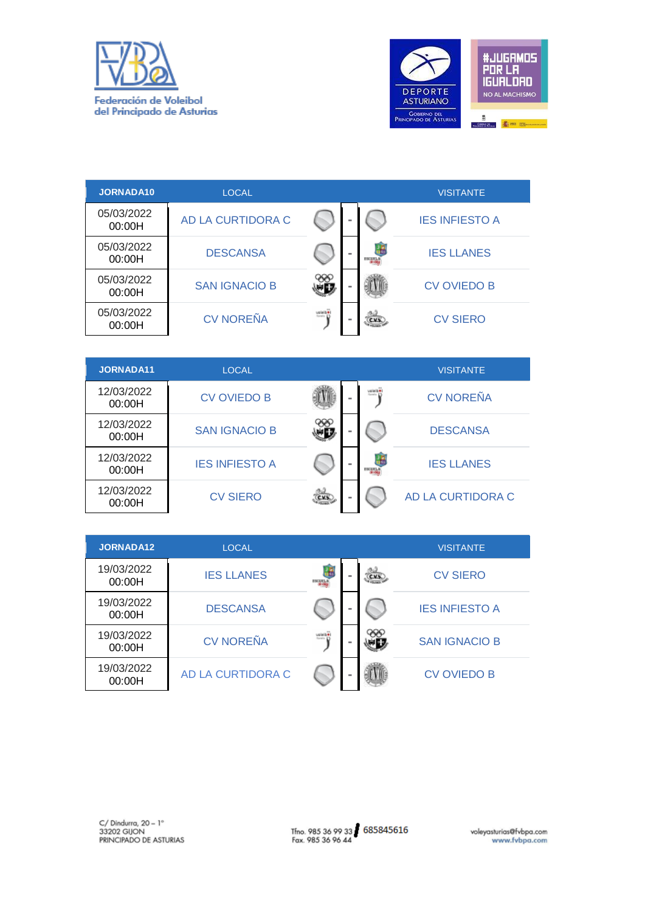



| <b>JORNADA10</b>     | LOCAL                |                               |               | <b>VISITANTE</b>      |
|----------------------|----------------------|-------------------------------|---------------|-----------------------|
| 05/03/2022<br>00:00H | AD LA CURTIDORA C    |                               |               | <b>IES INFIESTO A</b> |
| 05/03/2022<br>00:00H | <b>DESCANSA</b>      |                               | <b>ESCARA</b> | <b>IES LLANES</b>     |
| 05/03/2022<br>00:00H | <b>SAN IGNACIO B</b> |                               |               | <b>CV OVIEDO B</b>    |
| 05/03/2022<br>00:00H | <b>CV NOREÑA</b>     | voieib#i<br><b>Service 17</b> | C.V.S.        | <b>CV SIERO</b>       |
|                      |                      |                               |               |                       |

| JORNADA11            | <b>LOCAL</b>          |        |   |                    | <b>VISITANTE</b>  |
|----------------------|-----------------------|--------|---|--------------------|-------------------|
| 12/03/2022<br>00:00H | <b>CV OVIEDO B</b>    |        | - | voieibe<br>Serie D | <b>CV NOREÑA</b>  |
| 12/03/2022<br>00:00H | <b>SAN IGNACIO B</b>  |        |   |                    | <b>DESCANSA</b>   |
| 12/03/2022<br>00:00H | <b>IES INFIESTO A</b> |        |   |                    | <b>IES LLANES</b> |
| 12/03/2022<br>00:00H | <b>CV SIERO</b>       | C.V.S. | ٠ |                    | AD LA CURTIDORA C |

| JORNADA12            | <b>LOCAL</b>      |                      |            |        | <b>VISITANTE</b>      |
|----------------------|-------------------|----------------------|------------|--------|-----------------------|
| 19/03/2022<br>00:00H | <b>IES LLANES</b> | d.<br><b>ESCAPAN</b> | <b>COL</b> | C.V.S. | <b>CV SIERO</b>       |
| 19/03/2022<br>00:00H | <b>DESCANSA</b>   |                      | m          |        | <b>IES INFIESTO A</b> |
| 19/03/2022<br>00:00H | <b>CV NOREÑA</b>  | voieib#)<br>Smrti D  |            |        | <b>SAN IGNACIO B</b>  |
| 19/03/2022<br>00:00H | AD LA CURTIDORA C |                      |            |        | <b>CV OVIEDO B</b>    |